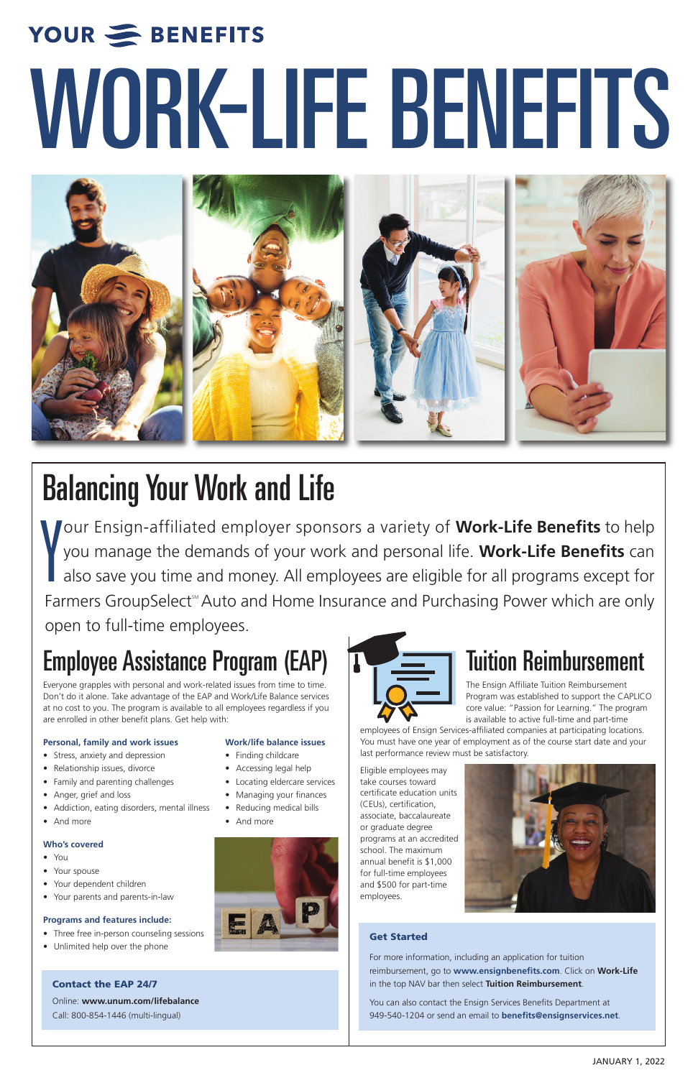# Employee Assistance Program (EAP)

Everyone grapples with personal and work-related issues from time to time. Don't do it alone. Take advantage of the EAP and Work/Life Balance services at no cost to you. The program is available to all employees regardless if you are enrolled in other benefit plans. Get help with:

#### **Personal, family and work issues Work/life balance issues**

- Stress, anxiety and depression Finding childcare
- Relationship issues, divorce Accessing legal help
- Family and parenting challenges Locating eldercare services

- 
- 
- 





- 
- And more  **And more**



#### **Who's covered**

- You
- Your spouse
- Your dependent children
- Your parents and parents-in-law

#### **Programs and features include:**

- Three free in-person counseling sessions
- Unlimited help over the phone

# Tuition Reimbursement

The Ensign Affiliate Tuition Reimbursement Program was established to support the CAPLICO core value: "Passion for Learning." The program is available to active full-time and part-time

employees of Ensign Services-affiliated companies at participating locations. You must have one year of employment as of the course start date and your last performance review must be satisfactory.

Eligible employees may take courses toward certificate education units



- 
- Addiction, eating disorders, mental illness Reducing medical bills
- 

(CEUs), certification, associate, baccalaureate or graduate degree programs at an accredited school. The maximum annual benefit is \$1,000 for full-time employees and \$500 for part-time employees.

JANUARY 1, 2022

#### **Contact the EAP 24/7**

Online: **www.unum.com/lifebalance**

Call: 800-854-1446 (multi-lingual)

#### **Get Started**

For more information, including an application for tuition reimbursement, go to **www.ensignbenefits.com**. Click on **Work-Life** in the top NAV bar then select **Tuition Reimbursement**.

You can also contact the Ensign Services Benefits Department at 949-540-1204 or send an email to **benefits@ensignservices.net**.

Y our Ensign-affiliated employer sponsors a variety of **Work-Life Benefits** to help you manage the demands of your work and personal life. **Work-Life Benefits** can also save you time and money. All employees are eligible for all programs except for Farmers GroupSelect<sup>™</sup> Auto and Home Insurance and Purchasing Power which are only open to full-time employees.

# YOUR SENEFITS WORK-LIFE BENEFITS



# Balancing Your Work and Life